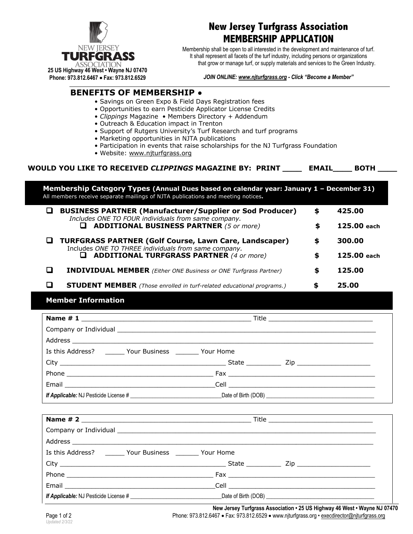

# **New Jersey Turfgrass Association MEMBERSHIP APPLICATION**

Membership shall be open to all interested in the development and maintenance of turf. It shall represent all facets of the turf industry, including persons or organizations that grow or manage turf, or supply materials and services to the Green Industry.

**25 US Highway 46 West • Wayne NJ 07470 Phone: 973.812.6467** • **Fax: 973.812.6529**

#### *JOIN ONLINE: www.njturfgrass.org - Click "Become a Member"*

## **BENEFITS OF MEMBERSHIP •**

- Savings on Green Expo & Field Days Registration fees
- Opportunities to earn Pesticide Applicator License Credits
- *Clippings* Magazine Members Directory + Addendum
- Outreach & Education impact in Trenton
- Support of Rutgers University's Turf Research and turf programs
- Marketing opportunities in NJTA publications
- Participation in events that raise scholarships for the NJ Turfgrass Foundation
- Website: www.njturfgrass.org

| WOULD YOU LIKE TO RECEIVED CLIPPINGS MAGAZINE BY: PRINT | <b>EMAIL</b> | <b>ВОТН</b> |
|---------------------------------------------------------|--------------|-------------|
|---------------------------------------------------------|--------------|-------------|

| Membership Category Types (Annual Dues based on calendar year: January 1 - December 31)<br>All members receive separate mailings of NJTA publications and meeting notices. |                                                                                                                        |    |               |  |
|----------------------------------------------------------------------------------------------------------------------------------------------------------------------------|------------------------------------------------------------------------------------------------------------------------|----|---------------|--|
| ப                                                                                                                                                                          | <b>BUSINESS PARTNER (Manufacturer/Supplier or Sod Producer)</b><br>Includes ONE TO FOUR individuals from same company. | \$ | 425.00        |  |
|                                                                                                                                                                            | <b>ADDITIONAL BUSINESS PARTNER (5 or more)</b><br>ப                                                                    | \$ | $125.00$ each |  |
| ப                                                                                                                                                                          | <b>TURFGRASS PARTNER (Golf Course, Lawn Care, Landscaper)</b><br>Includes ONE TO THREE individuals from same company.  | S  | 300.00        |  |
|                                                                                                                                                                            | <b>ADDITIONAL TURFGRASS PARTNER (4 or more)</b><br>ш                                                                   | \$ | 125.00 each   |  |
|                                                                                                                                                                            | <b>INDIVIDUAL MEMBER</b> (Either ONE Business or ONE Turfgrass Partner)                                                | S  | 125.00        |  |
|                                                                                                                                                                            | <b>STUDENT MEMBER</b> (Those enrolled in turf-related educational programs.)                                           |    | 25.00         |  |

### **Member Information**

| Is this Address? Tour Business The Your Home |  |
|----------------------------------------------|--|
|                                              |  |
|                                              |  |
|                                              |  |
|                                              |  |

| Company or Individual experience of the company of Individual European Company or Individual European Company |  |
|---------------------------------------------------------------------------------------------------------------|--|
|                                                                                                               |  |
| Is this Address? Tour Business The Your Home                                                                  |  |
|                                                                                                               |  |
|                                                                                                               |  |
|                                                                                                               |  |
|                                                                                                               |  |

**New Jersey Turfgrass Association • 25 US Highway 46 West • Wayne NJ 07470** Page 1 of 2 **Phone: 973.812.6467 • Fax: 973.812.6529 • www.njturfgrass.org • execdirector@njturfgrass.org**